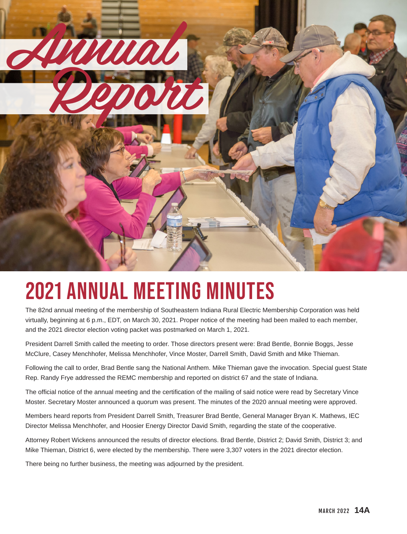

# 2021 Annual Meeting Minutes

The 82nd annual meeting of the membership of Southeastern Indiana Rural Electric Membership Corporation was held virtually, beginning at 6 p.m., EDT, on March 30, 2021. Proper notice of the meeting had been mailed to each member, and the 2021 director election voting packet was postmarked on March 1, 2021.

President Darrell Smith called the meeting to order. Those directors present were: Brad Bentle, Bonnie Boggs, Jesse McClure, Casey Menchhofer, Melissa Menchhofer, Vince Moster, Darrell Smith, David Smith and Mike Thieman.

Following the call to order, Brad Bentle sang the National Anthem. Mike Thieman gave the invocation. Special guest State Rep. Randy Frye addressed the REMC membership and reported on district 67 and the state of Indiana.

The official notice of the annual meeting and the certification of the mailing of said notice were read by Secretary Vince Moster. Secretary Moster announced a quorum was present. The minutes of the 2020 annual meeting were approved.

Members heard reports from President Darrell Smith, Treasurer Brad Bentle, General Manager Bryan K. Mathews, IEC Director Melissa Menchhofer, and Hoosier Energy Director David Smith, regarding the state of the cooperative.

Attorney Robert Wickens announced the results of director elections. Brad Bentle, District 2; David Smith, District 3; and Mike Thieman, District 6, were elected by the membership. There were 3,307 voters in the 2021 director election.

There being no further business, the meeting was adjourned by the president.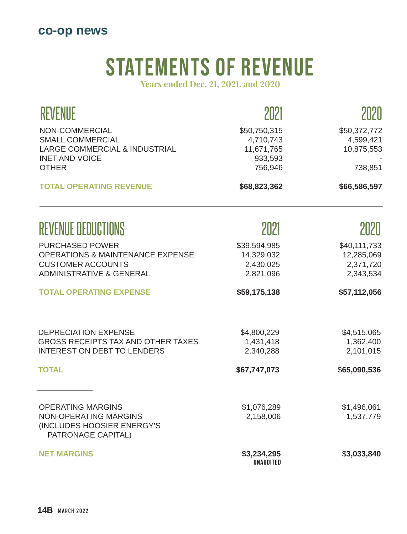## **co-op news**

# STATEMENTS OF REVENUE

**Years ended Dec. 21, 2021, and 2020**

| <b>REVENUE</b>                                                                                                                           | 2021                                                          | 2020                                                 |  |
|------------------------------------------------------------------------------------------------------------------------------------------|---------------------------------------------------------------|------------------------------------------------------|--|
| NON-COMMERCIAL<br><b>SMALL COMMERCIAL</b><br>LARGE COMMERCIAL & INDUSTRIAL<br><b>INET AND VOICE</b><br><b>OTHER</b>                      | \$50,750,315<br>4,710,743<br>11,671,765<br>933,593<br>756,946 | \$50,372,772<br>4,599,421<br>10,875,553<br>738,851   |  |
| <b>TOTAL OPERATING REVENUE</b>                                                                                                           | \$68,823,362                                                  | \$66,586,597                                         |  |
| <b>REVENUE DEDUCTIONS</b>                                                                                                                | 2021                                                          | 2020                                                 |  |
| <b>PURCHASED POWER</b><br><b>OPERATIONS &amp; MAINTENANCE EXPENSE</b><br><b>CUSTOMER ACCOUNTS</b><br><b>ADMINISTRATIVE &amp; GENERAL</b> | \$39,594,985<br>14,329,032<br>2,430,025<br>2,821,096          | \$40,111,733<br>12,285,069<br>2,371,720<br>2,343,534 |  |
| <b>TOTAL OPERATING EXPENSE</b>                                                                                                           | \$59,175,138                                                  | \$57,112,056                                         |  |
| <b>DEPRECIATION EXPENSE</b><br><b>GROSS RECEIPTS TAX AND OTHER TAXES</b><br><b>INTEREST ON DEBT TO LENDERS</b>                           | \$4,800,229<br>1,431,418<br>2,340,288                         | \$4,515,065<br>1,362,400<br>2,101,015                |  |
| <b>TOTAL</b>                                                                                                                             | \$67,747,073                                                  | \$65,090,536                                         |  |
| <b>OPERATING MARGINS</b><br><b>NON-OPERATING MARGINS</b><br>(INCLUDES HOOSIER ENERGY'S<br>PATRONAGE CAPITAL)                             | \$1,076,289<br>2,158,006                                      | \$1,496,061<br>1,537,779                             |  |
| <b>NET MARGINS</b>                                                                                                                       | \$3,234,295<br><b>UNAUDITED</b>                               | \$3,033,840                                          |  |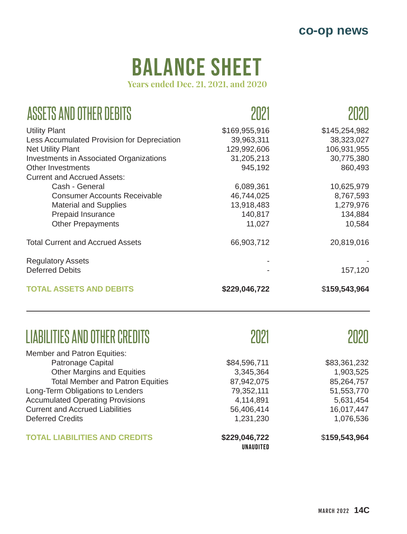# balance sheet

**Years ended Dec. 21, 2021, and 2020**

| ASSETS AND OTHER DEBITS                     |               |               |
|---------------------------------------------|---------------|---------------|
| <b>Utility Plant</b>                        | \$169,955,916 | \$145,254,982 |
| Less Accumulated Provision for Depreciation | 39,963,311    | 38,323,027    |
| <b>Net Utility Plant</b>                    | 129,992,606   | 106,931,955   |
| Investments in Associated Organizations     | 31,205,213    | 30,775,380    |
| Other Investments                           | 945,192       | 860,493       |
| <b>Current and Accrued Assets:</b>          |               |               |
| Cash - General                              | 6,089,361     | 10,625,979    |
| <b>Consumer Accounts Receivable</b>         | 46,744,025    | 8,767,593     |
| <b>Material and Supplies</b>                | 13,918,483    | 1,279,976     |
| Prepaid Insurance                           | 140,817       | 134,884       |
| <b>Other Prepayments</b>                    | 11,027        | 10,584        |
| <b>Total Current and Accrued Assets</b>     | 66,903,712    | 20,819,016    |
| <b>Regulatory Assets</b>                    |               |               |
| <b>Deferred Debits</b>                      |               | 157,120       |
| <b>TOTAL ASSETS AND DEBITS</b>              | \$229,046,722 | \$159,543,964 |

## LIABILITIES AND OTHER CREDITS

Member and Patron Equities: Patronage Capital Other Margins and Equities Total Member and Patron Equities Long-Term Obligations to Lenders Accumulated Operating Provisions Current and Accrued Liabilities Deferred Credits **TOTAL LIABILITIES AND CREDITS** \$84,596,711 3,345,364 87,942,075 79,352,111 4,114,891 56,406,414 1,231,230 **\$229,046,722** \$83,361,232 1,903,525 85,264,757 51,553,770 5,631,454 16,017,447 1,076,536 \$**159,543,964**  UNAUDITED

2021

2020